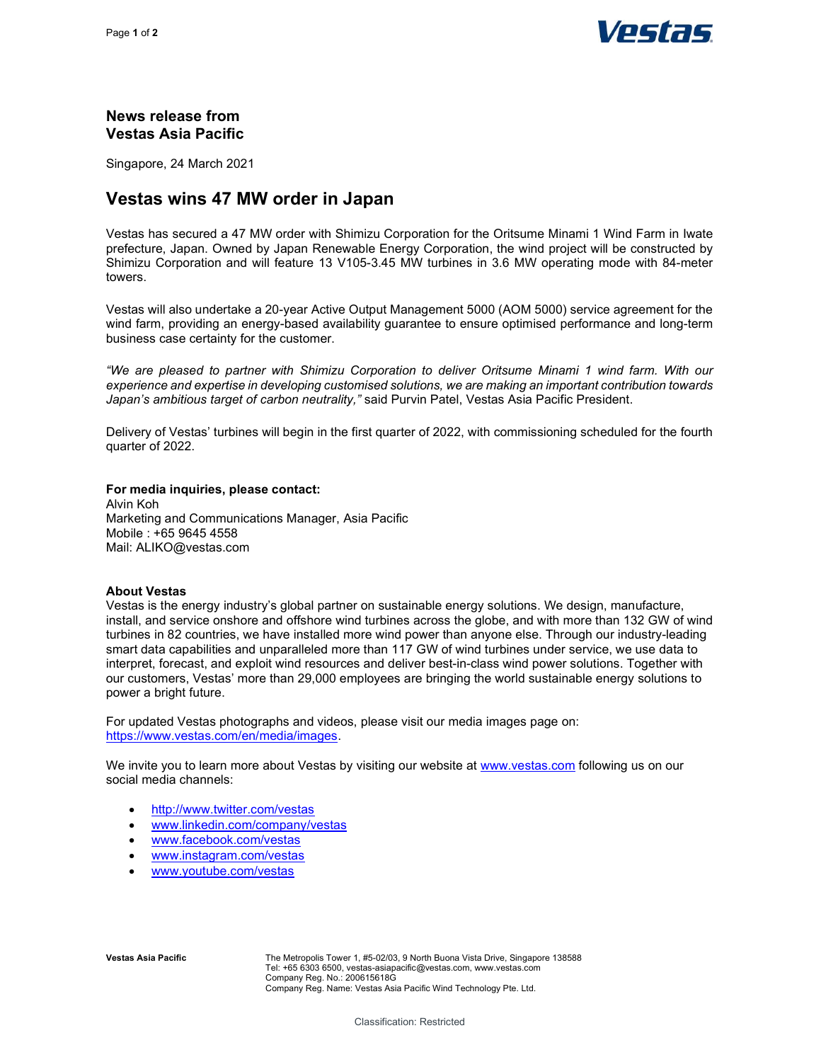

## News release from Vestas Asia Pacific

Singapore, 24 March 2021

# Vestas wins 47 MW order in Japan

Vestas has secured a 47 MW order with Shimizu Corporation for the Oritsume Minami 1 Wind Farm in Iwate prefecture, Japan. Owned by Japan Renewable Energy Corporation, the wind project will be constructed by Shimizu Corporation and will feature 13 V105-3.45 MW turbines in 3.6 MW operating mode with 84-meter towers.

Vestas will also undertake a 20-year Active Output Management 5000 (AOM 5000) service agreement for the wind farm, providing an energy-based availability guarantee to ensure optimised performance and long-term business case certainty for the customer.

"We are pleased to partner with Shimizu Corporation to deliver Oritsume Minami 1 wind farm. With our experience and expertise in developing customised solutions, we are making an important contribution towards Japan's ambitious target of carbon neutrality," said Purvin Patel, Vestas Asia Pacific President.

Delivery of Vestas' turbines will begin in the first quarter of 2022, with commissioning scheduled for the fourth quarter of 2022.

For media inquiries, please contact: Alvin Koh Marketing and Communications Manager, Asia Pacific Mobile : +65 9645 4558 Mail: ALIKO@vestas.com

#### About Vestas

Vestas is the energy industry's global partner on sustainable energy solutions. We design, manufacture, install, and service onshore and offshore wind turbines across the globe, and with more than 132 GW of wind turbines in 82 countries, we have installed more wind power than anyone else. Through our industry-leading smart data capabilities and unparalleled more than 117 GW of wind turbines under service, we use data to interpret, forecast, and exploit wind resources and deliver best-in-class wind power solutions. Together with our customers, Vestas' more than 29,000 employees are bringing the world sustainable energy solutions to power a bright future.

For updated Vestas photographs and videos, please visit our media images page on: https://www.vestas.com/en/media/images.

We invite you to learn more about Vestas by visiting our website at www.vestas.com following us on our social media channels:

- http://www.twitter.com/vestas
- www.linkedin.com/company/vestas
- www.facebook.com/vestas
- www.instagram.com/vestas
- www.youtube.com/vestas

Vestas Asia Pacific **The Metropolis Tower 1, #5-02/03, 9 North Buona Vista Drive, Singapore 138588** Tel: +65 6303 6500, vestas-asiapacific@vestas.com, www.vestas.com Company Reg. No.: 200615618G Company Reg. Name: Vestas Asia Pacific Wind Technology Pte. Ltd.